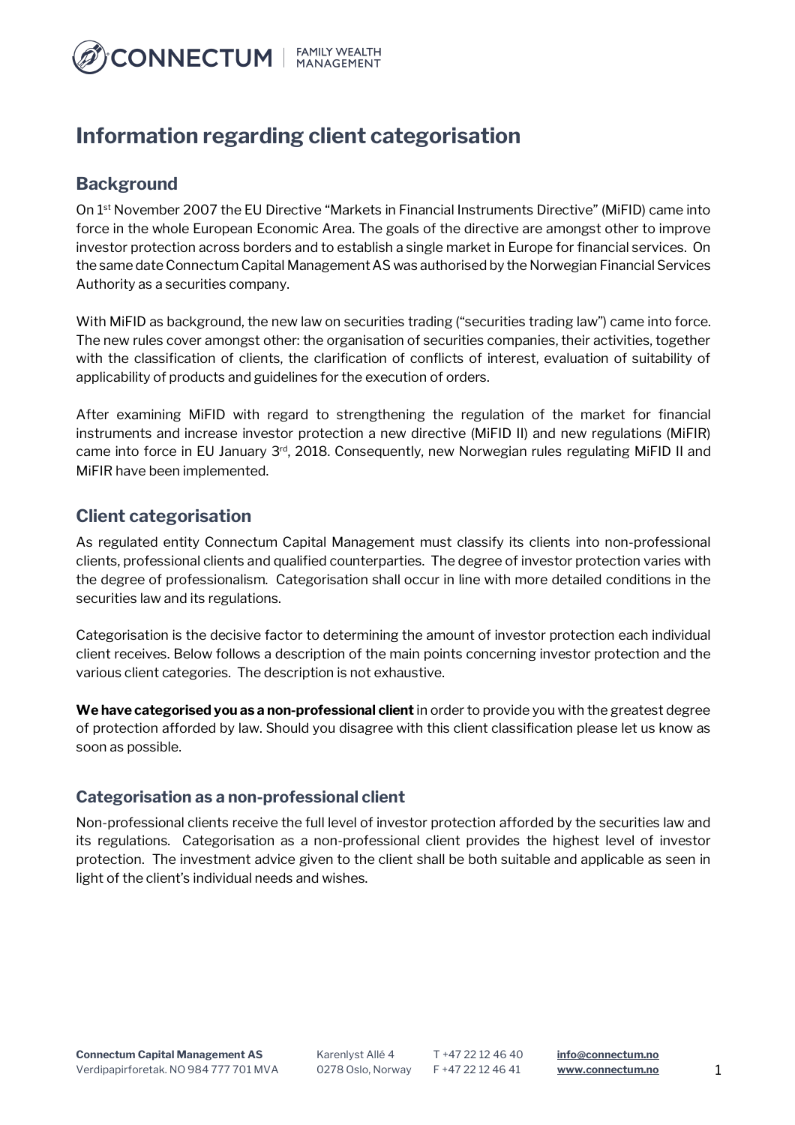

# **Information regarding client categorisation**

# **Background**

On 1st November 2007 the EU Directive "Markets in Financial Instruments Directive" (MiFID) came into force in the whole European Economic Area. The goals of the directive are amongst other to improve investor protection across borders and to establish a single market in Europe for financial services. On the same date Connectum Capital Management AS was authorised by the Norwegian Financial Services Authority as a securities company.

With MiFID as background, the new law on securities trading ("securities trading law") came into force. The new rules cover amongst other: the organisation of securities companies, their activities, together with the classification of clients, the clarification of conflicts of interest, evaluation of suitability of applicability of products and guidelines for the execution of orders.

After examining MiFID with regard to strengthening the regulation of the market for financial instruments and increase investor protection a new directive (MiFID II) and new regulations (MiFIR) came into force in EU January 3rd, 2018. Consequently, new Norwegian rules regulating MiFID II and MiFIR have been implemented.

# **Client categorisation**

As regulated entity Connectum Capital Management must classify its clients into non-professional clients, professional clients and qualified counterparties. The degree of investor protection varies with the degree of professionalism. Categorisation shall occur in line with more detailed conditions in the securities law and its regulations.

Categorisation is the decisive factor to determining the amount of investor protection each individual client receives. Below follows a description of the main points concerning investor protection and the various client categories. The description is not exhaustive.

**We have categorised you as a non-professional client** in order to provide you with the greatest degree of protection afforded by law. Should you disagree with this client classification please let us know as soon as possible.

### **Categorisation as a non-professional client**

Non-professional clients receive the full level of investor protection afforded by the securities law and its regulations. Categorisation as a non-professional client provides the highest level of investor protection. The investment advice given to the client shall be both suitable and applicable as seen in light of the client's individual needs and wishes.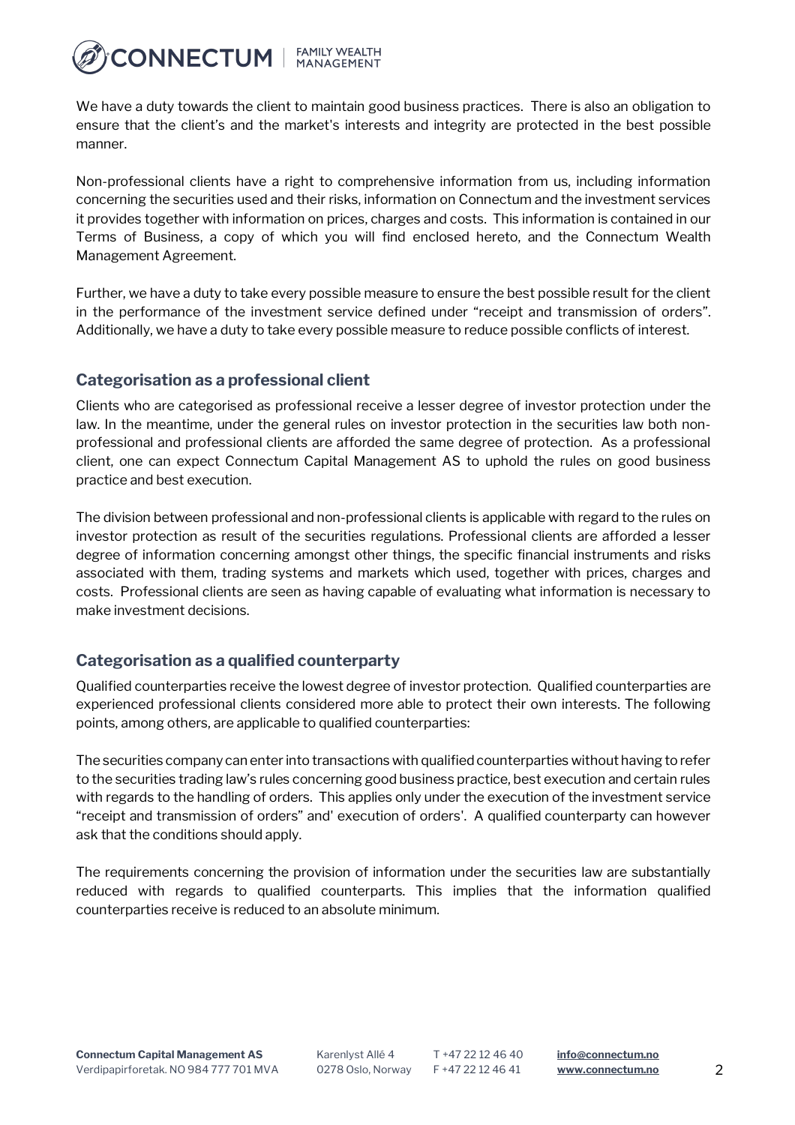

We have a duty towards the client to maintain good business practices. There is also an obligation to ensure that the client's and the market's interests and integrity are protected in the best possible manner.

Non-professional clients have a right to comprehensive information from us, including information concerning the securities used and their risks, information on Connectum and the investment services it provides together with information on prices, charges and costs. This information is contained in our Terms of Business, a copy of which you will find enclosed hereto, and the Connectum Wealth Management Agreement.

Further, we have a duty to take every possible measure to ensure the best possible result for the client in the performance of the investment service defined under "receipt and transmission of orders". Additionally, we have a duty to take every possible measure to reduce possible conflicts of interest.

### **Categorisation as a professional client**

Clients who are categorised as professional receive a lesser degree of investor protection under the law. In the meantime, under the general rules on investor protection in the securities law both nonprofessional and professional clients are afforded the same degree of protection. As a professional client, one can expect Connectum Capital Management AS to uphold the rules on good business practice and best execution.

The division between professional and non-professional clients is applicable with regard to the rules on investor protection as result of the securities regulations. Professional clients are afforded a lesser degree of information concerning amongst other things, the specific financial instruments and risks associated with them, trading systems and markets which used, together with prices, charges and costs. Professional clients are seen as having capable of evaluating what information is necessary to make investment decisions.

### **Categorisation as a qualified counterparty**

Qualified counterparties receive the lowest degree of investor protection. Qualified counterparties are experienced professional clients considered more able to protect their own interests. The following points, among others, are applicable to qualified counterparties:

The securities company can enter into transactions with qualified counterparties without having to refer to the securities trading law's rules concerning good business practice, best execution and certain rules with regards to the handling of orders. This applies only under the execution of the investment service "receipt and transmission of orders" and' execution of orders'. A qualified counterparty can however ask that the conditions should apply.

The requirements concerning the provision of information under the securities law are substantially reduced with regards to qualified counterparts. This implies that the information qualified counterparties receive is reduced to an absolute minimum.